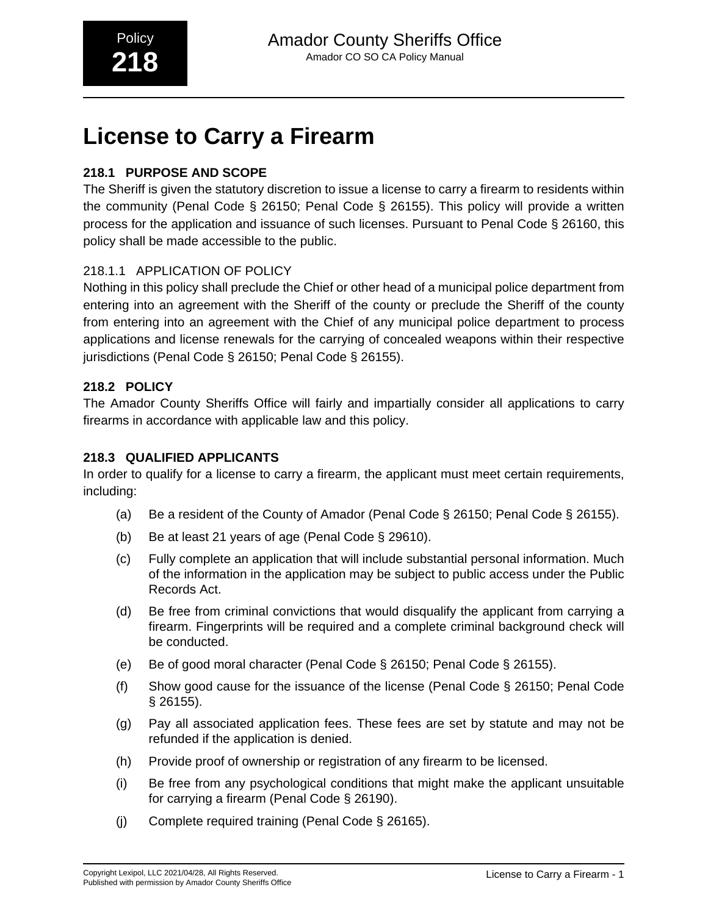# **License to Carry a Firearm**

# **218.1 PURPOSE AND SCOPE**

The Sheriff is given the statutory discretion to issue a license to carry a firearm to residents within the community (Penal Code § 26150; Penal Code § 26155). This policy will provide a written process for the application and issuance of such licenses. Pursuant to Penal Code § 26160, this policy shall be made accessible to the public.

# 218.1.1 APPLICATION OF POLICY

Nothing in this policy shall preclude the Chief or other head of a municipal police department from entering into an agreement with the Sheriff of the county or preclude the Sheriff of the county from entering into an agreement with the Chief of any municipal police department to process applications and license renewals for the carrying of concealed weapons within their respective jurisdictions (Penal Code § 26150; Penal Code § 26155).

# **218.2 POLICY**

The Amador County Sheriffs Office will fairly and impartially consider all applications to carry firearms in accordance with applicable law and this policy.

# **218.3 QUALIFIED APPLICANTS**

In order to qualify for a license to carry a firearm, the applicant must meet certain requirements, including:

- (a) Be a resident of the County of Amador (Penal Code § 26150; Penal Code § 26155).
- (b) Be at least 21 years of age (Penal Code § 29610).
- (c) Fully complete an application that will include substantial personal information. Much of the information in the application may be subject to public access under the Public Records Act.
- (d) Be free from criminal convictions that would disqualify the applicant from carrying a firearm. Fingerprints will be required and a complete criminal background check will be conducted.
- (e) Be of good moral character (Penal Code § 26150; Penal Code § 26155).
- (f) Show good cause for the issuance of the license (Penal Code § 26150; Penal Code § 26155).
- (g) Pay all associated application fees. These fees are set by statute and may not be refunded if the application is denied.
- (h) Provide proof of ownership or registration of any firearm to be licensed.
- (i) Be free from any psychological conditions that might make the applicant unsuitable for carrying a firearm (Penal Code § 26190).
- (j) Complete required training (Penal Code § 26165).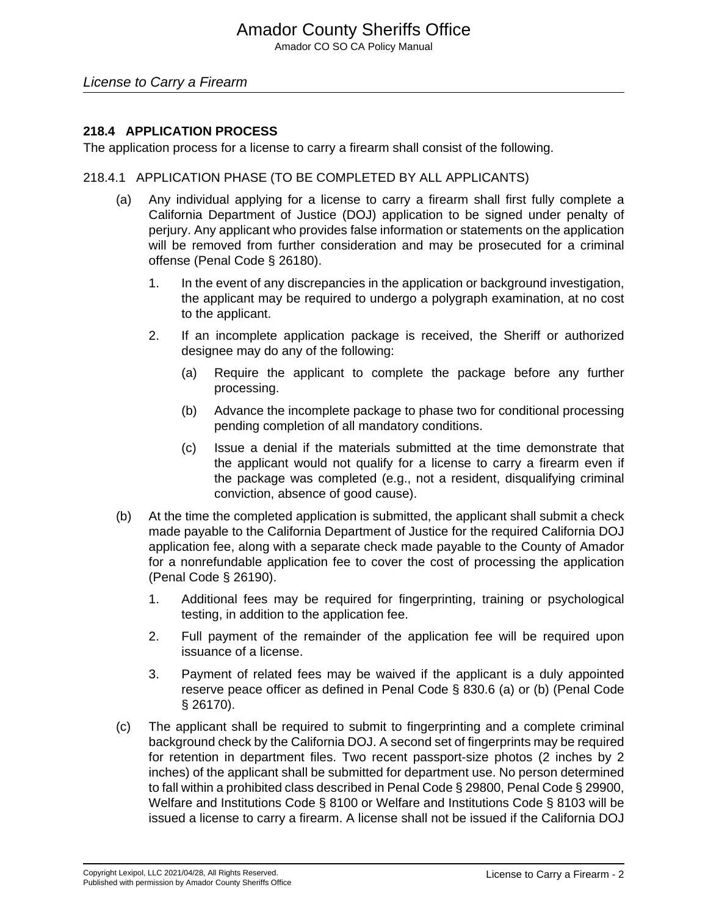Amador CO SO CA Policy Manual

### License to Carry a Firearm

### **218.4 APPLICATION PROCESS**

The application process for a license to carry a firearm shall consist of the following.

### 218.4.1 APPLICATION PHASE (TO BE COMPLETED BY ALL APPLICANTS)

- (a) Any individual applying for a license to carry a firearm shall first fully complete a California Department of Justice (DOJ) application to be signed under penalty of perjury. Any applicant who provides false information or statements on the application will be removed from further consideration and may be prosecuted for a criminal offense (Penal Code § 26180).
	- 1. In the event of any discrepancies in the application or background investigation, the applicant may be required to undergo a polygraph examination, at no cost to the applicant.
	- 2. If an incomplete application package is received, the Sheriff or authorized designee may do any of the following:
		- (a) Require the applicant to complete the package before any further processing.
		- (b) Advance the incomplete package to phase two for conditional processing pending completion of all mandatory conditions.
		- (c) Issue a denial if the materials submitted at the time demonstrate that the applicant would not qualify for a license to carry a firearm even if the package was completed (e.g., not a resident, disqualifying criminal conviction, absence of good cause).
- (b) At the time the completed application is submitted, the applicant shall submit a check made payable to the California Department of Justice for the required California DOJ application fee, along with a separate check made payable to the County of Amador for a nonrefundable application fee to cover the cost of processing the application (Penal Code § 26190).
	- 1. Additional fees may be required for fingerprinting, training or psychological testing, in addition to the application fee.
	- 2. Full payment of the remainder of the application fee will be required upon issuance of a license.
	- 3. Payment of related fees may be waived if the applicant is a duly appointed reserve peace officer as defined in Penal Code § 830.6 (a) or (b) (Penal Code § 26170).
- (c) The applicant shall be required to submit to fingerprinting and a complete criminal background check by the California DOJ. A second set of fingerprints may be required for retention in department files. Two recent passport-size photos (2 inches by 2 inches) of the applicant shall be submitted for department use. No person determined to fall within a prohibited class described in Penal Code § 29800, Penal Code § 29900, Welfare and Institutions Code § 8100 or Welfare and Institutions Code § 8103 will be issued a license to carry a firearm. A license shall not be issued if the California DOJ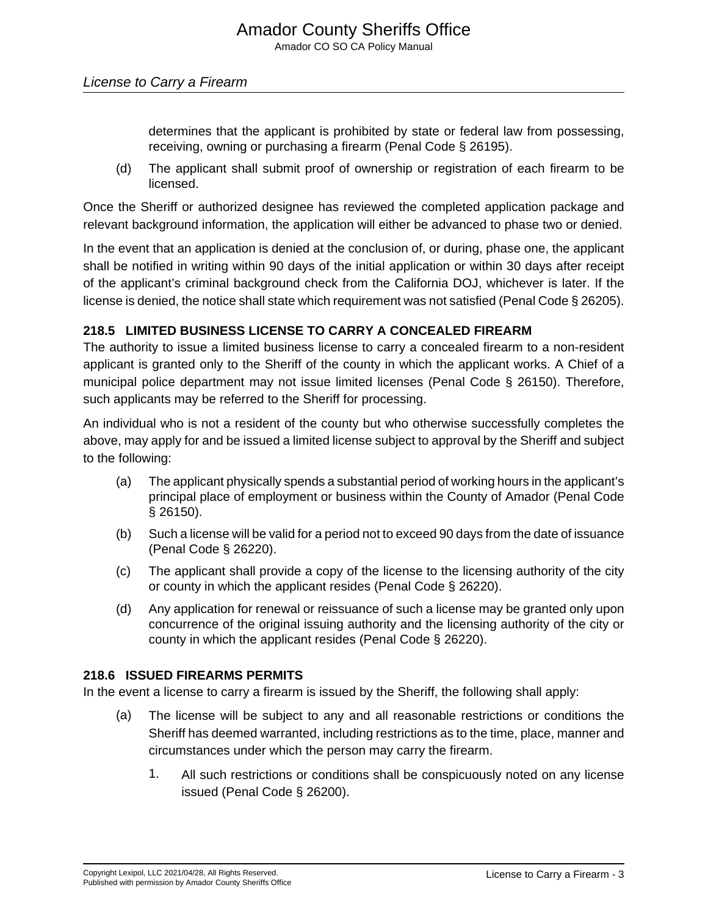determines that the applicant is prohibited by state or federal law from possessing, receiving, owning or purchasing a firearm (Penal Code § 26195).

(d) The applicant shall submit proof of ownership or registration of each firearm to be licensed.

Once the Sheriff or authorized designee has reviewed the completed application package and relevant background information, the application will either be advanced to phase two or denied.

In the event that an application is denied at the conclusion of, or during, phase one, the applicant shall be notified in writing within 90 days of the initial application or within 30 days after receipt of the applicant's criminal background check from the California DOJ, whichever is later. If the license is denied, the notice shall state which requirement was not satisfied (Penal Code § 26205).

# **218.5 LIMITED BUSINESS LICENSE TO CARRY A CONCEALED FIREARM**

The authority to issue a limited business license to carry a concealed firearm to a non-resident applicant is granted only to the Sheriff of the county in which the applicant works. A Chief of a municipal police department may not issue limited licenses (Penal Code § 26150). Therefore, such applicants may be referred to the Sheriff for processing.

An individual who is not a resident of the county but who otherwise successfully completes the above, may apply for and be issued a limited license subject to approval by the Sheriff and subject to the following:

- (a) The applicant physically spends a substantial period of working hours in the applicant's principal place of employment or business within the County of Amador (Penal Code § 26150).
- (b) Such a license will be valid for a period not to exceed 90 days from the date of issuance (Penal Code § 26220).
- (c) The applicant shall provide a copy of the license to the licensing authority of the city or county in which the applicant resides (Penal Code § 26220).
- (d) Any application for renewal or reissuance of such a license may be granted only upon concurrence of the original issuing authority and the licensing authority of the city or county in which the applicant resides (Penal Code § 26220).

# **218.6 ISSUED FIREARMS PERMITS**

In the event a license to carry a firearm is issued by the Sheriff, the following shall apply:

- (a) The license will be subject to any and all reasonable restrictions or conditions the Sheriff has deemed warranted, including restrictions as to the time, place, manner and circumstances under which the person may carry the firearm.
	- 1. All such restrictions or conditions shall be conspicuously noted on any license issued (Penal Code § 26200).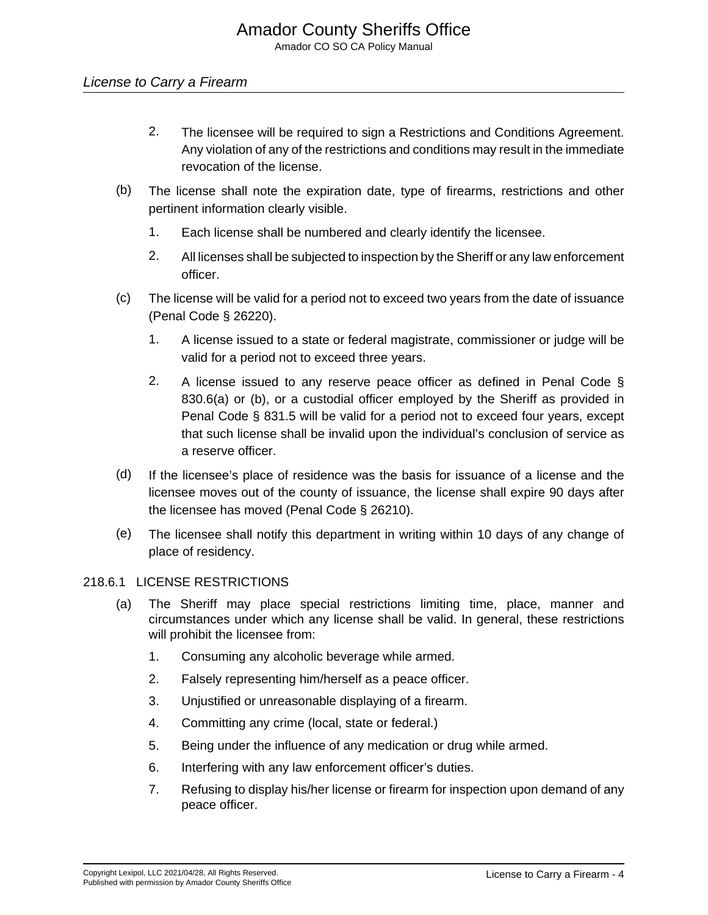# License to Carry a Firearm

- 2. The licensee will be required to sign a Restrictions and Conditions Agreement. Any violation of any of the restrictions and conditions may result in the immediate revocation of the license.
- (b) The license shall note the expiration date, type of firearms, restrictions and other pertinent information clearly visible.
	- 1. Each license shall be numbered and clearly identify the licensee.
	- 2. All licenses shall be subjected to inspection by the Sheriff or any law enforcement officer.
- (c) The license will be valid for a period not to exceed two years from the date of issuance (Penal Code § 26220).
	- 1. A license issued to a state or federal magistrate, commissioner or judge will be valid for a period not to exceed three years.
	- 2. A license issued to any reserve peace officer as defined in Penal Code § 830.6(a) or (b), or a custodial officer employed by the Sheriff as provided in Penal Code § 831.5 will be valid for a period not to exceed four years, except that such license shall be invalid upon the individual's conclusion of service as a reserve officer.
- (d) If the licensee's place of residence was the basis for issuance of a license and the licensee moves out of the county of issuance, the license shall expire 90 days after the licensee has moved (Penal Code § 26210).
- (e) The licensee shall notify this department in writing within 10 days of any change of place of residency.

#### 218.6.1 LICENSE RESTRICTIONS

- (a) The Sheriff may place special restrictions limiting time, place, manner and circumstances under which any license shall be valid. In general, these restrictions will prohibit the licensee from:
	- 1. Consuming any alcoholic beverage while armed.
	- 2. Falsely representing him/herself as a peace officer.
	- 3. Unjustified or unreasonable displaying of a firearm.
	- 4. Committing any crime (local, state or federal.)
	- 5. Being under the influence of any medication or drug while armed.
	- 6. Interfering with any law enforcement officer's duties.
	- 7. Refusing to display his/her license or firearm for inspection upon demand of any peace officer.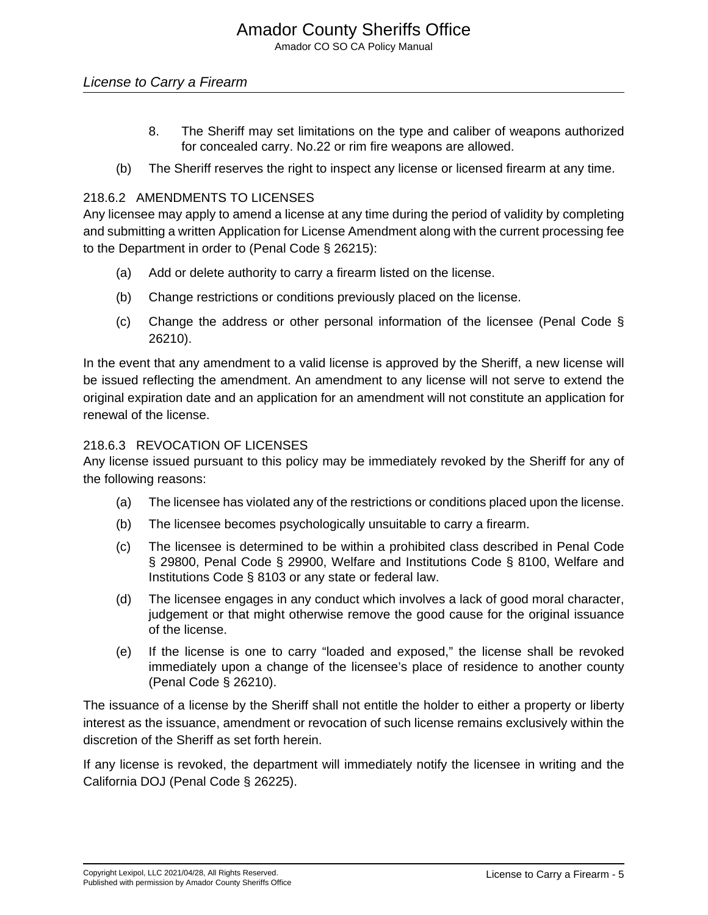- 8. The Sheriff may set limitations on the type and caliber of weapons authorized for concealed carry. No.22 or rim fire weapons are allowed.
- (b) The Sheriff reserves the right to inspect any license or licensed firearm at any time.

## 218.6.2 AMENDMENTS TO LICENSES

Any licensee may apply to amend a license at any time during the period of validity by completing and submitting a written Application for License Amendment along with the current processing fee to the Department in order to (Penal Code § 26215):

- (a) Add or delete authority to carry a firearm listed on the license.
- (b) Change restrictions or conditions previously placed on the license.
- (c) Change the address or other personal information of the licensee (Penal Code § 26210).

In the event that any amendment to a valid license is approved by the Sheriff, a new license will be issued reflecting the amendment. An amendment to any license will not serve to extend the original expiration date and an application for an amendment will not constitute an application for renewal of the license.

### 218.6.3 REVOCATION OF LICENSES

Any license issued pursuant to this policy may be immediately revoked by the Sheriff for any of the following reasons:

- (a) The licensee has violated any of the restrictions or conditions placed upon the license.
- (b) The licensee becomes psychologically unsuitable to carry a firearm.
- (c) The licensee is determined to be within a prohibited class described in Penal Code § 29800, Penal Code § 29900, Welfare and Institutions Code § 8100, Welfare and Institutions Code § 8103 or any state or federal law.
- (d) The licensee engages in any conduct which involves a lack of good moral character, judgement or that might otherwise remove the good cause for the original issuance of the license.
- (e) If the license is one to carry "loaded and exposed," the license shall be revoked immediately upon a change of the licensee's place of residence to another county (Penal Code § 26210).

The issuance of a license by the Sheriff shall not entitle the holder to either a property or liberty interest as the issuance, amendment or revocation of such license remains exclusively within the discretion of the Sheriff as set forth herein.

If any license is revoked, the department will immediately notify the licensee in writing and the California DOJ (Penal Code § 26225).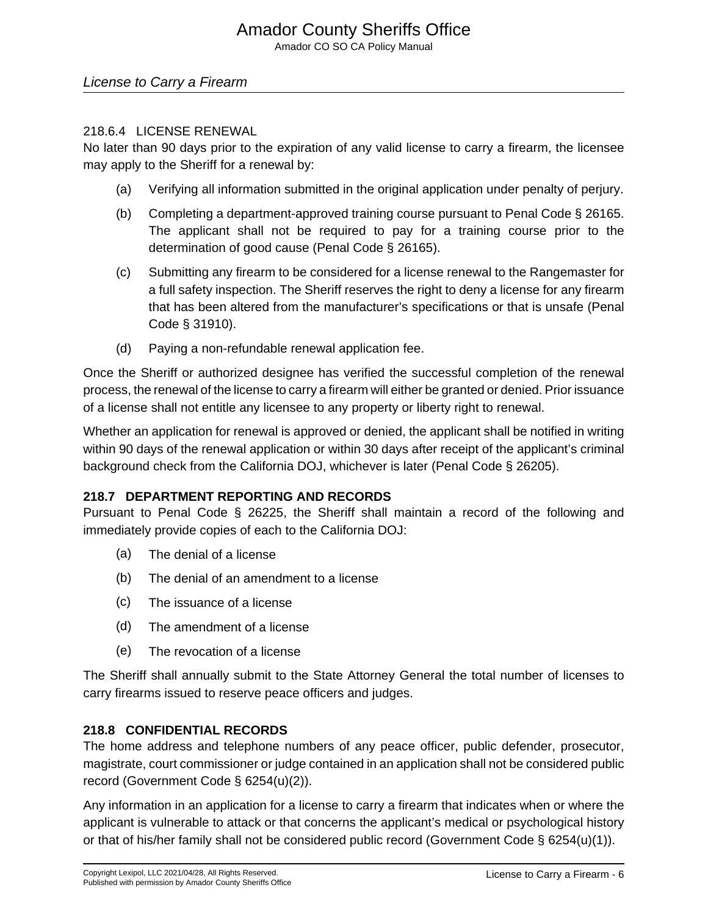# Amador County Sheriffs Office

Amador CO SO CA Policy Manual

### License to Carry a Firearm

#### 218.6.4 LICENSE RENEWAL

No later than 90 days prior to the expiration of any valid license to carry a firearm, the licensee may apply to the Sheriff for a renewal by:

- (a) Verifying all information submitted in the original application under penalty of perjury.
- (b) Completing a department-approved training course pursuant to Penal Code § 26165. The applicant shall not be required to pay for a training course prior to the determination of good cause (Penal Code § 26165).
- (c) Submitting any firearm to be considered for a license renewal to the Rangemaster for a full safety inspection. The Sheriff reserves the right to deny a license for any firearm that has been altered from the manufacturer's specifications or that is unsafe (Penal Code § 31910).
- (d) Paying a non-refundable renewal application fee.

Once the Sheriff or authorized designee has verified the successful completion of the renewal process, the renewal of the license to carry a firearm will either be granted or denied. Prior issuance of a license shall not entitle any licensee to any property or liberty right to renewal.

Whether an application for renewal is approved or denied, the applicant shall be notified in writing within 90 days of the renewal application or within 30 days after receipt of the applicant's criminal background check from the California DOJ, whichever is later (Penal Code § 26205).

#### **218.7 DEPARTMENT REPORTING AND RECORDS**

Pursuant to Penal Code § 26225, the Sheriff shall maintain a record of the following and immediately provide copies of each to the California DOJ:

- (a) The denial of a license
- (b) The denial of an amendment to a license
- (c) The issuance of a license
- (d) The amendment of a license
- (e) The revocation of a license

The Sheriff shall annually submit to the State Attorney General the total number of licenses to carry firearms issued to reserve peace officers and judges.

#### **218.8 CONFIDENTIAL RECORDS**

The home address and telephone numbers of any peace officer, public defender, prosecutor, magistrate, court commissioner or judge contained in an application shall not be considered public record (Government Code § 6254(u)(2)).

Any information in an application for a license to carry a firearm that indicates when or where the applicant is vulnerable to attack or that concerns the applicant's medical or psychological history or that of his/her family shall not be considered public record (Government Code § 6254(u)(1)).